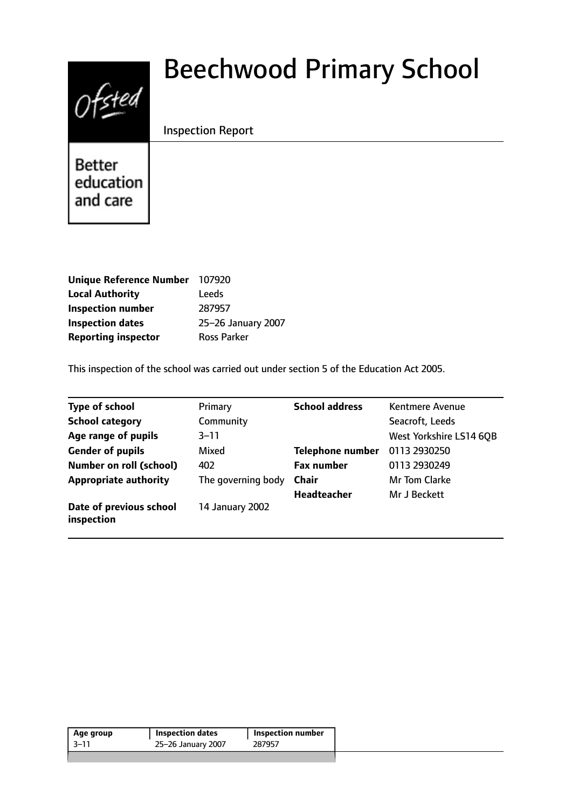# Ofsted

# Beechwood Primary School

Inspection Report

**Better** education and care

| <b>Unique Reference Number</b> | 107920             |
|--------------------------------|--------------------|
| <b>Local Authority</b>         | Leeds              |
| <b>Inspection number</b>       | 287957             |
| <b>Inspection dates</b>        | 25-26 January 2007 |
| <b>Reporting inspector</b>     | <b>Ross Parker</b> |

This inspection of the school was carried out under section 5 of the Education Act 2005.

| <b>Type of school</b>                 | Primary            | <b>School address</b>   | <b>Kentmere Avenue</b>  |
|---------------------------------------|--------------------|-------------------------|-------------------------|
| <b>School category</b>                | Community          |                         | Seacroft, Leeds         |
| Age range of pupils                   | $3 - 11$           |                         | West Yorkshire LS14 6QB |
| <b>Gender of pupils</b>               | Mixed              | <b>Telephone number</b> | 0113 2930250            |
| <b>Number on roll (school)</b>        | 402                | <b>Fax number</b>       | 0113 2930249            |
| <b>Appropriate authority</b>          | The governing body | <b>Chair</b>            | Mr Tom Clarke           |
|                                       |                    | <b>Headteacher</b>      | Mr J Beckett            |
| Date of previous school<br>inspection | 14 January 2002    |                         |                         |

| $-3-11$<br>287957<br>25-26 January 2007 | Age group | Inspection dates | Inspection number |  |
|-----------------------------------------|-----------|------------------|-------------------|--|
|                                         |           |                  |                   |  |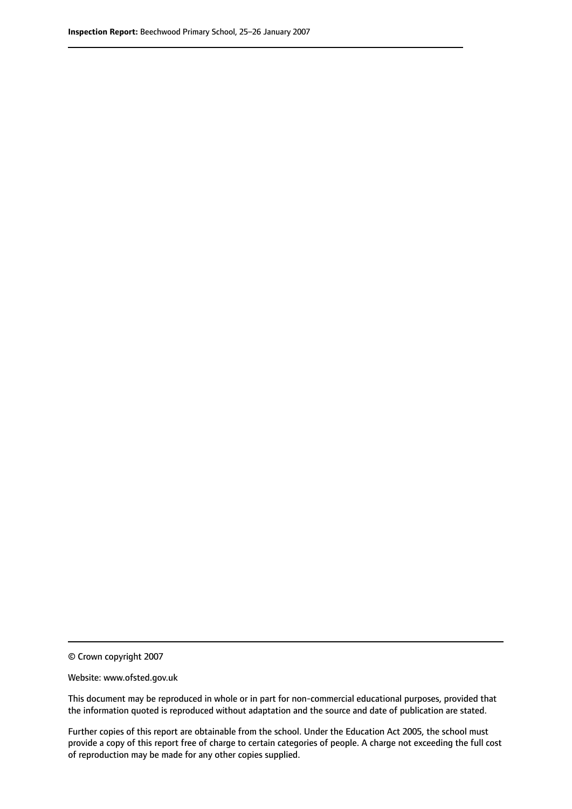© Crown copyright 2007

Website: www.ofsted.gov.uk

This document may be reproduced in whole or in part for non-commercial educational purposes, provided that the information quoted is reproduced without adaptation and the source and date of publication are stated.

Further copies of this report are obtainable from the school. Under the Education Act 2005, the school must provide a copy of this report free of charge to certain categories of people. A charge not exceeding the full cost of reproduction may be made for any other copies supplied.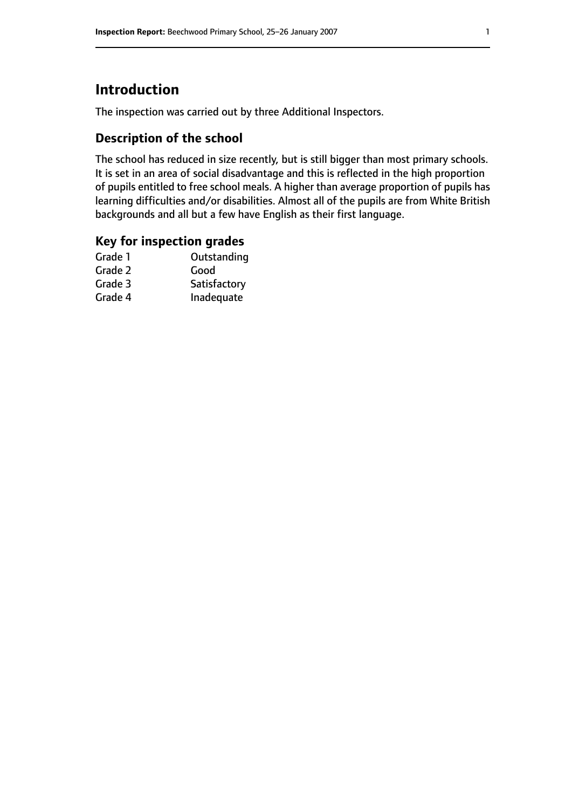# **Introduction**

The inspection was carried out by three Additional Inspectors.

# **Description of the school**

The school has reduced in size recently, but is still bigger than most primary schools. It is set in an area of social disadvantage and this is reflected in the high proportion of pupils entitled to free school meals. A higher than average proportion of pupils has learning difficulties and/or disabilities. Almost all of the pupils are from White British backgrounds and all but a few have English as their first language.

## **Key for inspection grades**

| Good         |
|--------------|
|              |
| Satisfactory |
| Inadequate   |
|              |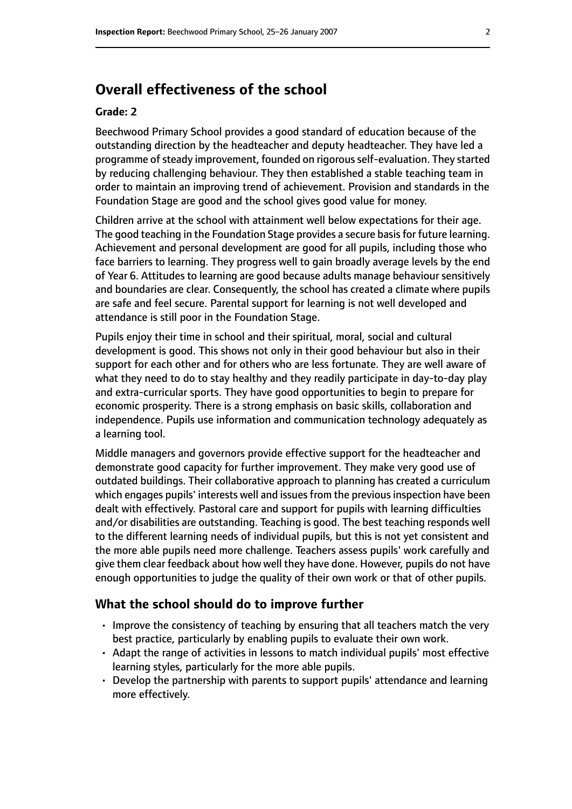# **Overall effectiveness of the school**

#### **Grade: 2**

Beechwood Primary School provides a good standard of education because of the outstanding direction by the headteacher and deputy headteacher. They have led a programme of steady improvement, founded on rigorous self-evaluation. They started by reducing challenging behaviour. They then established a stable teaching team in order to maintain an improving trend of achievement. Provision and standards in the Foundation Stage are good and the school gives good value for money.

Children arrive at the school with attainment well below expectations for their age. The good teaching in the Foundation Stage provides a secure basis for future learning. Achievement and personal development are good for all pupils, including those who face barriers to learning. They progress well to gain broadly average levels by the end of Year 6. Attitudes to learning are good because adults manage behaviour sensitively and boundaries are clear. Consequently, the school has created a climate where pupils are safe and feel secure. Parental support for learning is not well developed and attendance is still poor in the Foundation Stage.

Pupils enjoy their time in school and their spiritual, moral, social and cultural development is good. This shows not only in their good behaviour but also in their support for each other and for others who are less fortunate. They are well aware of what they need to do to stay healthy and they readily participate in day-to-day play and extra-curricular sports. They have good opportunities to begin to prepare for economic prosperity. There is a strong emphasis on basic skills, collaboration and independence. Pupils use information and communication technology adequately as a learning tool.

Middle managers and governors provide effective support for the headteacher and demonstrate good capacity for further improvement. They make very good use of outdated buildings. Their collaborative approach to planning has created a curriculum which engages pupils' interests well and issues from the previous inspection have been dealt with effectively. Pastoral care and support for pupils with learning difficulties and/or disabilities are outstanding. Teaching is good. The best teaching responds well to the different learning needs of individual pupils, but this is not yet consistent and the more able pupils need more challenge. Teachers assess pupils' work carefully and give them clear feedback about how well they have done. However, pupils do not have enough opportunities to judge the quality of their own work or that of other pupils.

#### **What the school should do to improve further**

- Improve the consistency of teaching by ensuring that all teachers match the very best practice, particularly by enabling pupils to evaluate their own work.
- Adapt the range of activities in lessons to match individual pupils' most effective learning styles, particularly for the more able pupils.
- Develop the partnership with parents to support pupils' attendance and learning more effectively.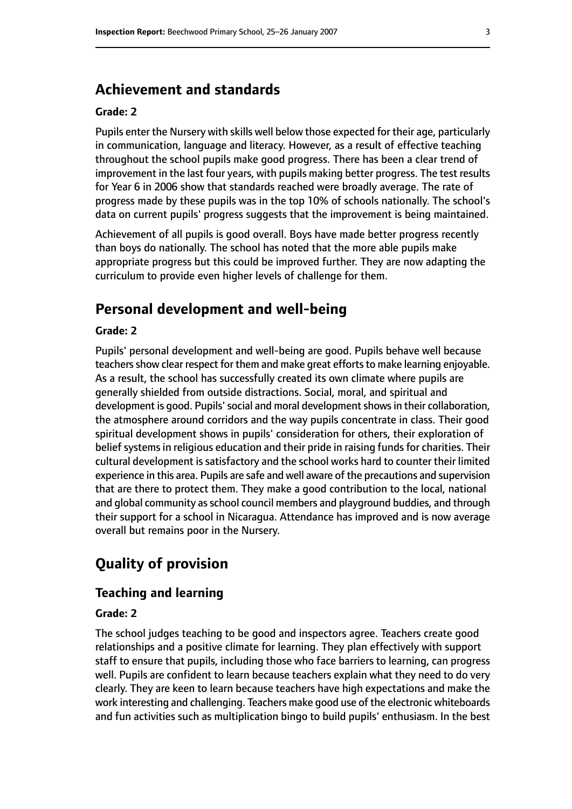# **Achievement and standards**

#### **Grade: 2**

Pupils enter the Nursery with skills well below those expected for their age, particularly in communication, language and literacy. However, as a result of effective teaching throughout the school pupils make good progress. There has been a clear trend of improvement in the last four years, with pupils making better progress. The test results for Year 6 in 2006 show that standards reached were broadly average. The rate of progress made by these pupils was in the top 10% of schools nationally. The school's data on current pupils' progress suggests that the improvement is being maintained.

Achievement of all pupils is good overall. Boys have made better progress recently than boys do nationally. The school has noted that the more able pupils make appropriate progress but this could be improved further. They are now adapting the curriculum to provide even higher levels of challenge for them.

## **Personal development and well-being**

#### **Grade: 2**

Pupils' personal development and well-being are good. Pupils behave well because teachers show clear respect for them and make great efforts to make learning enjoyable. As a result, the school has successfully created its own climate where pupils are generally shielded from outside distractions. Social, moral, and spiritual and development is good. Pupils' social and moral development shows in their collaboration, the atmosphere around corridors and the way pupils concentrate in class. Their good spiritual development shows in pupils' consideration for others, their exploration of belief systems in religious education and their pride in raising funds for charities. Their cultural development is satisfactory and the school works hard to counter their limited experience in this area. Pupils are safe and well aware of the precautions and supervision that are there to protect them. They make a good contribution to the local, national and global community as school council members and playground buddies, and through their support for a school in Nicaragua. Attendance has improved and is now average overall but remains poor in the Nursery.

# **Quality of provision**

#### **Teaching and learning**

#### **Grade: 2**

The school judges teaching to be good and inspectors agree. Teachers create good relationships and a positive climate for learning. They plan effectively with support staff to ensure that pupils, including those who face barriers to learning, can progress well. Pupils are confident to learn because teachers explain what they need to do very clearly. They are keen to learn because teachers have high expectations and make the work interesting and challenging. Teachers make good use of the electronic whiteboards and fun activities such as multiplication bingo to build pupils' enthusiasm. In the best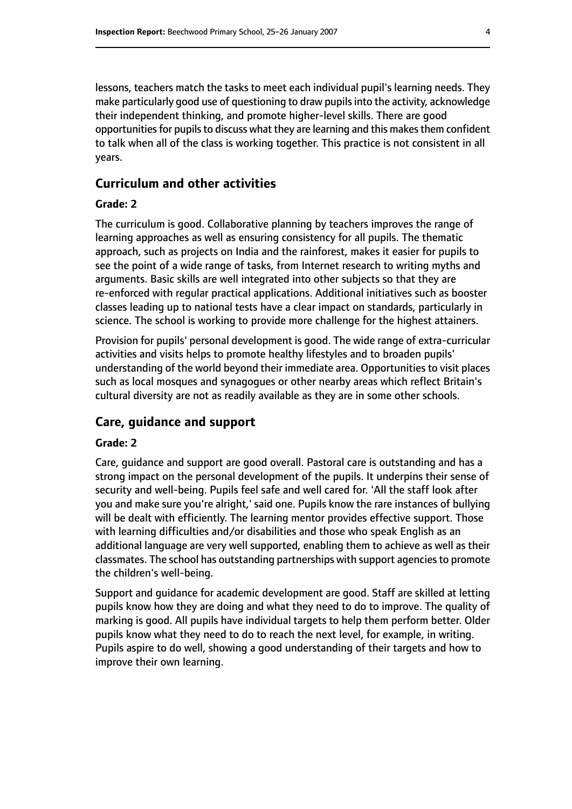lessons, teachers match the tasks to meet each individual pupil's learning needs. They make particularly good use of questioning to draw pupilsinto the activity, acknowledge their independent thinking, and promote higher-level skills. There are good opportunities for pupils to discuss what they are learning and this makes them confident to talk when all of the class is working together. This practice is not consistent in all years.

#### **Curriculum and other activities**

#### **Grade: 2**

The curriculum is good. Collaborative planning by teachers improves the range of learning approaches as well as ensuring consistency for all pupils. The thematic approach, such as projects on India and the rainforest, makes it easier for pupils to see the point of a wide range of tasks, from Internet research to writing myths and arguments. Basic skills are well integrated into other subjects so that they are re-enforced with regular practical applications. Additional initiatives such as booster classes leading up to national tests have a clear impact on standards, particularly in science. The school is working to provide more challenge for the highest attainers.

Provision for pupils' personal development is good. The wide range of extra-curricular activities and visits helps to promote healthy lifestyles and to broaden pupils' understanding of the world beyond their immediate area. Opportunities to visit places such as local mosques and synagogues or other nearby areas which reflect Britain's cultural diversity are not as readily available as they are in some other schools.

#### **Care, guidance and support**

#### **Grade: 2**

Care, guidance and support are good overall. Pastoral care is outstanding and has a strong impact on the personal development of the pupils. It underpins their sense of security and well-being. Pupils feel safe and well cared for. 'All the staff look after you and make sure you're alright,' said one. Pupils know the rare instances of bullying will be dealt with efficiently. The learning mentor provides effective support. Those with learning difficulties and/or disabilities and those who speak English as an additional language are very well supported, enabling them to achieve as well as their classmates. The school has outstanding partnerships with support agenciesto promote the children's well-being.

Support and guidance for academic development are good. Staff are skilled at letting pupils know how they are doing and what they need to do to improve. The quality of marking is good. All pupils have individual targets to help them perform better. Older pupils know what they need to do to reach the next level, for example, in writing. Pupils aspire to do well, showing a good understanding of their targets and how to improve their own learning.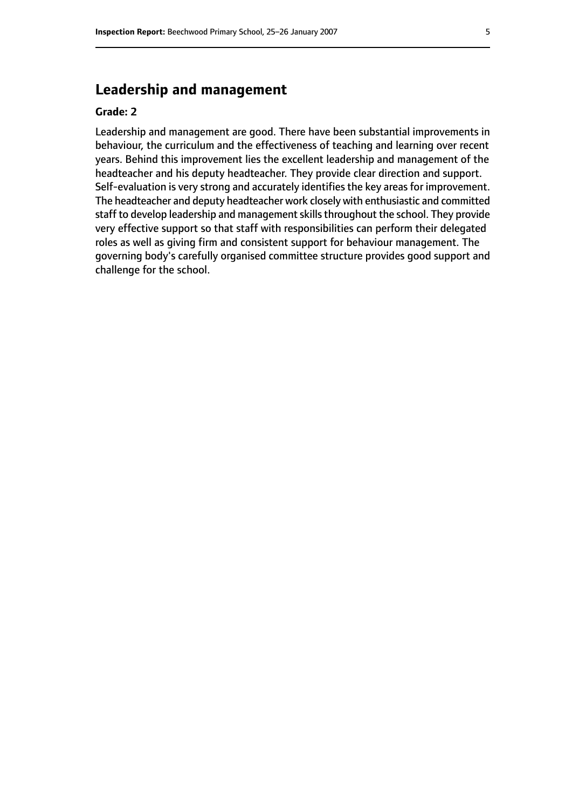# **Leadership and management**

#### **Grade: 2**

Leadership and management are good. There have been substantial improvements in behaviour, the curriculum and the effectiveness of teaching and learning over recent years. Behind this improvement lies the excellent leadership and management of the headteacher and his deputy headteacher. They provide clear direction and support. Self-evaluation is very strong and accurately identifies the key areas for improvement. The headteacher and deputy headteacher work closely with enthusiastic and committed staff to develop leadership and management skills throughout the school. They provide very effective support so that staff with responsibilities can perform their delegated roles as well as giving firm and consistent support for behaviour management. The governing body's carefully organised committee structure provides good support and challenge for the school.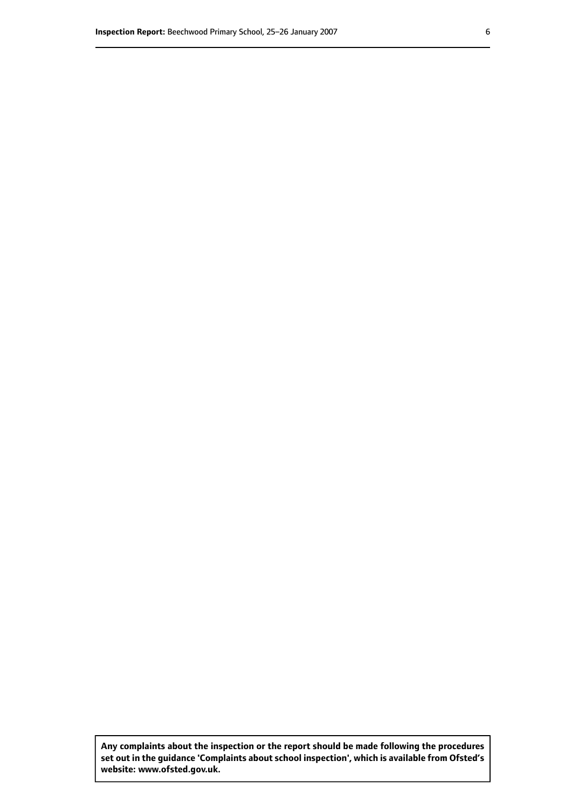**Any complaints about the inspection or the report should be made following the procedures set out inthe guidance 'Complaints about school inspection', whichis available from Ofsted's website: www.ofsted.gov.uk.**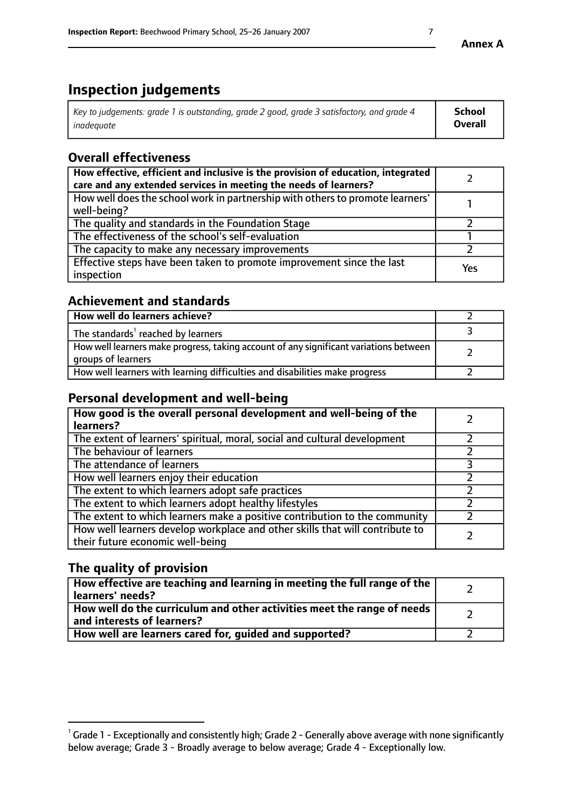# **Inspection judgements**

| Key to judgements: grade 1 is outstanding, grade 2 good, grade 3 satisfactory, and grade 4 | School         |
|--------------------------------------------------------------------------------------------|----------------|
| inadeauate                                                                                 | <b>Overall</b> |

# **Overall effectiveness**

| How effective, efficient and inclusive is the provision of education, integrated<br>care and any extended services in meeting the needs of learners? |     |
|------------------------------------------------------------------------------------------------------------------------------------------------------|-----|
| How well does the school work in partnership with others to promote learners'<br>well-being?                                                         |     |
| The quality and standards in the Foundation Stage                                                                                                    |     |
| The effectiveness of the school's self-evaluation                                                                                                    |     |
| The capacity to make any necessary improvements                                                                                                      |     |
| Effective steps have been taken to promote improvement since the last<br>inspection                                                                  | Yes |

# **Achievement and standards**

| How well do learners achieve?                                                                               |  |
|-------------------------------------------------------------------------------------------------------------|--|
| The standards <sup>1</sup> reached by learners                                                              |  |
| How well learners make progress, taking account of any significant variations between<br>groups of learners |  |
| How well learners with learning difficulties and disabilities make progress                                 |  |

# **Personal development and well-being**

| How good is the overall personal development and well-being of the<br>learners?                                  |  |
|------------------------------------------------------------------------------------------------------------------|--|
| The extent of learners' spiritual, moral, social and cultural development                                        |  |
| The behaviour of learners                                                                                        |  |
| The attendance of learners                                                                                       |  |
| How well learners enjoy their education                                                                          |  |
| The extent to which learners adopt safe practices                                                                |  |
| The extent to which learners adopt healthy lifestyles                                                            |  |
| The extent to which learners make a positive contribution to the community                                       |  |
| How well learners develop workplace and other skills that will contribute to<br>their future economic well-being |  |

# **The quality of provision**

| How effective are teaching and learning in meeting the full range of the<br>  learners' needs?                      |  |
|---------------------------------------------------------------------------------------------------------------------|--|
| $\mid$ How well do the curriculum and other activities meet the range of needs<br>$\mid$ and interests of learners? |  |
| How well are learners cared for, guided and supported?                                                              |  |

 $^1$  Grade 1 - Exceptionally and consistently high; Grade 2 - Generally above average with none significantly below average; Grade 3 - Broadly average to below average; Grade 4 - Exceptionally low.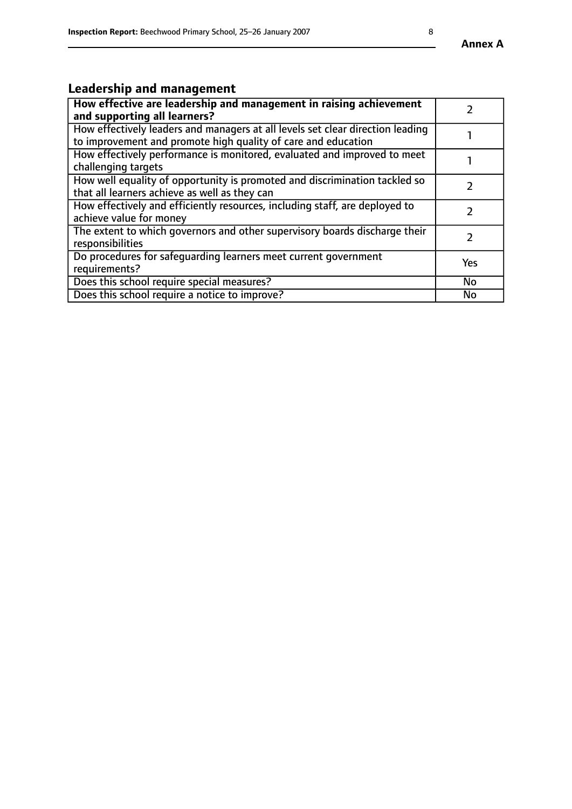# **Leadership and management**

| How effective are leadership and management in raising achievement<br>and supporting all learners?                                              |               |
|-------------------------------------------------------------------------------------------------------------------------------------------------|---------------|
| How effectively leaders and managers at all levels set clear direction leading<br>to improvement and promote high quality of care and education |               |
| How effectively performance is monitored, evaluated and improved to meet<br>challenging targets                                                 |               |
| How well equality of opportunity is promoted and discrimination tackled so<br>that all learners achieve as well as they can                     |               |
| How effectively and efficiently resources, including staff, are deployed to<br>achieve value for money                                          | $\mathcal{P}$ |
| The extent to which governors and other supervisory boards discharge their<br>responsibilities                                                  |               |
| Do procedures for safequarding learners meet current government<br>requirements?                                                                | Yes           |
| Does this school require special measures?                                                                                                      | No            |
| Does this school require a notice to improve?                                                                                                   | <b>No</b>     |